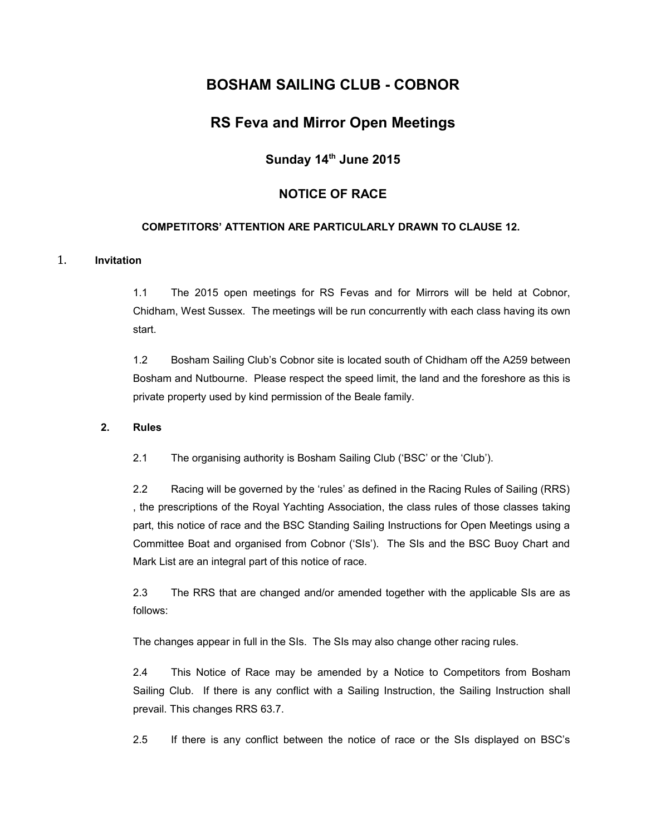# **BOSHAM SAILING CLUB - COBNOR**

# **RS Feva and Mirror Open Meetings**

# **Sunday 14th June 2015**

### **NOTICE OF RACE**

### **COMPETITORS' ATTENTION ARE PARTICULARLY DRAWN TO CLAUSE 12.**

### 1. **Invitation**

1.1 The 2015 open meetings for RS Fevas and for Mirrors will be held at Cobnor, Chidham, West Sussex. The meetings will be run concurrently with each class having its own start.

1.2 Bosham Sailing Club's Cobnor site is located south of Chidham off the A259 between Bosham and Nutbourne. Please respect the speed limit, the land and the foreshore as this is private property used by kind permission of the Beale family.

#### **2. Rules**

2.1 The organising authority is Bosham Sailing Club ('BSC' or the 'Club').

2.2 Racing will be governed by the 'rules' as defined in the Racing Rules of Sailing (RRS) , the prescriptions of the Royal Yachting Association, the class rules of those classes taking part, this notice of race and the BSC Standing Sailing Instructions for Open Meetings using a Committee Boat and organised from Cobnor ('SIs'). The SIs and the BSC Buoy Chart and Mark List are an integral part of this notice of race.

2.3 The RRS that are changed and/or amended together with the applicable SIs are as follows:

The changes appear in full in the SIs. The SIs may also change other racing rules.

2.4 This Notice of Race may be amended by a Notice to Competitors from Bosham Sailing Club. If there is any conflict with a Sailing Instruction, the Sailing Instruction shall prevail. This changes RRS 63.7.

2.5 If there is any conflict between the notice of race or the SIs displayed on BSC's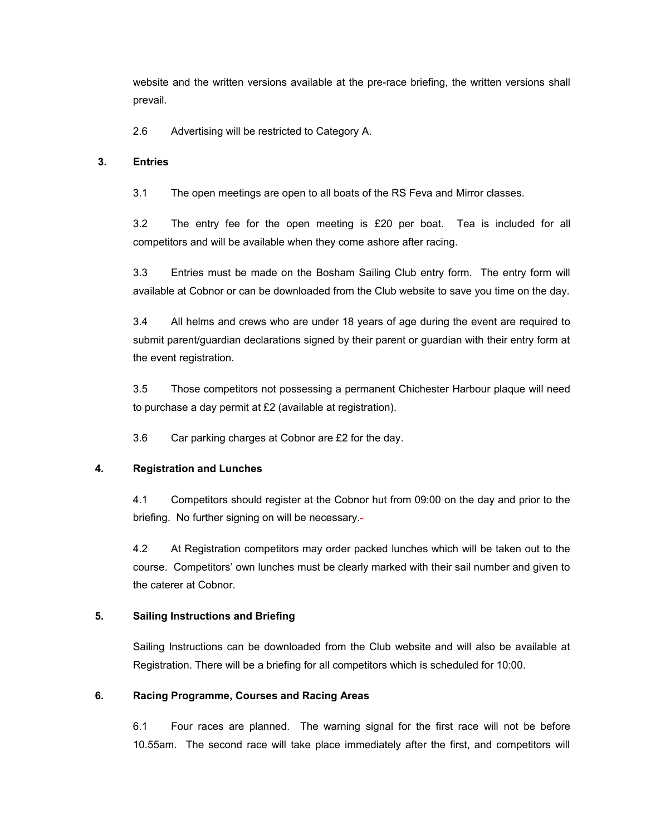website and the written versions available at the pre-race briefing, the written versions shall prevail.

2.6 Advertising will be restricted to Category A.

### **3. Entries**

3.1 The open meetings are open to all boats of the RS Feva and Mirror classes.

3.2 The entry fee for the open meeting is £20 per boat. Tea is included for all competitors and will be available when they come ashore after racing.

3.3 Entries must be made on the Bosham Sailing Club entry form. The entry form will available at Cobnor or can be downloaded from the Club website to save you time on the day.

3.4 All helms and crews who are under 18 years of age during the event are required to submit parent/guardian declarations signed by their parent or guardian with their entry form at the event registration.

3.5 Those competitors not possessing a permanent Chichester Harbour plaque will need to purchase a day permit at £2 (available at registration).

3.6 Car parking charges at Cobnor are £2 for the day.

# **4. Registration and Lunches**

4.1 Competitors should register at the Cobnor hut from 09:00 on the day and prior to the briefing. No further signing on will be necessary.

4.2 At Registration competitors may order packed lunches which will be taken out to the course. Competitors' own lunches must be clearly marked with their sail number and given to the caterer at Cobnor.

# **5. Sailing Instructions and Briefing**

Sailing Instructions can be downloaded from the Club website and will also be available at Registration. There will be a briefing for all competitors which is scheduled for 10:00.

# **6. Racing Programme, Courses and Racing Areas**

6.1 Four races are planned. The warning signal for the first race will not be before 10.55am. The second race will take place immediately after the first, and competitors will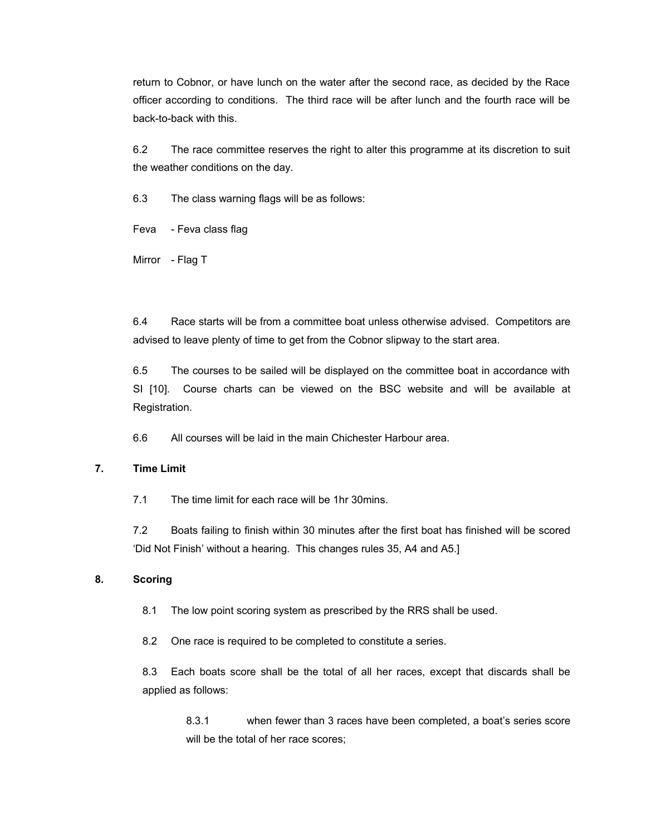return to Cobnor, or have lunch on the water after the second race, as decided by the Race officer according to conditions. The third race will be after lunch and the fourth race will be back-to-back with this.

6.2 The race committee reserves the right to alter this programme at its discretion to suit the weather conditions on the day.

6.3 The class warning flags will be as follows:

Feva - Feva class flag

Mirror - Flag T

6.4 Race starts will be from a committee boat unless otherwise advised. Competitors are advised to leave plenty of time to get from the Cobnor slipway to the start area.

6.5 The courses to be sailed will be displayed on the committee boat in accordance with SI [10]. Course charts can be viewed on the BSC website and will be available at Registration.

6.6 All courses will be laid in the main Chichester Harbour area.

#### **7. Time Limit**

7.1 The time limit for each race will be 1hr 30mins.

7.2 Boats failing to finish within 30 minutes after the first boat has finished will be scored 'Did Not Finish' without a hearing. This changes rules 35, A4 and A5.]

### **8. Scoring**

8.1 The low point scoring system as prescribed by the RRS shall be used.

8.2 One race is required to be completed to constitute a series.

8.3 Each boats score shall be the total of all her races, except that discards shall be applied as follows:

8.3.1 when fewer than 3 races have been completed, a boat's series score will be the total of her race scores;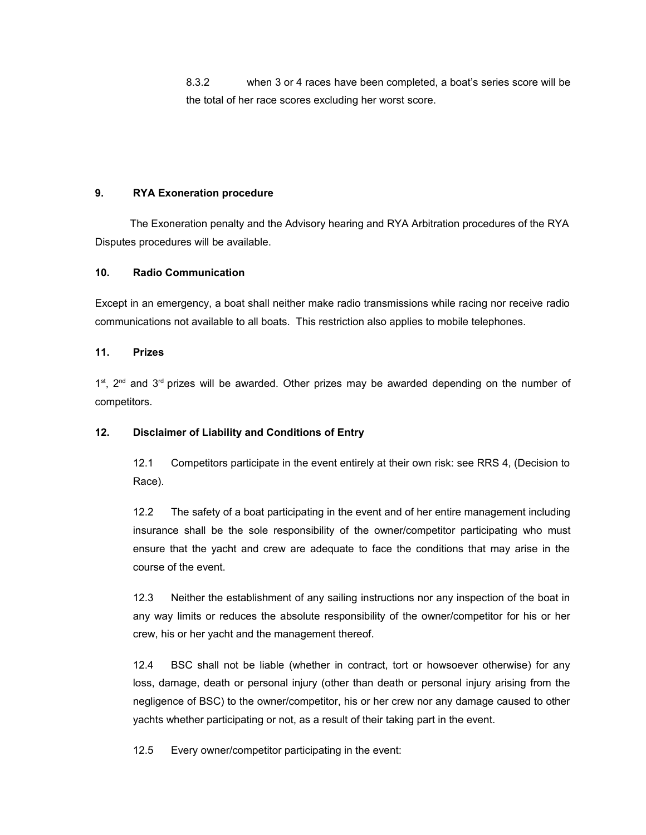8.3.2 when 3 or 4 races have been completed, a boat's series score will be the total of her race scores excluding her worst score.

### **9. RYA Exoneration procedure**

 The Exoneration penalty and the Advisory hearing and RYA Arbitration procedures of the RYA Disputes procedures will be available.

### **10. Radio Communication**

Except in an emergency, a boat shall neither make radio transmissions while racing nor receive radio communications not available to all boats. This restriction also applies to mobile telephones.

#### **11. Prizes**

 $1<sup>st</sup>$ ,  $2<sup>nd</sup>$  and  $3<sup>rd</sup>$  prizes will be awarded. Other prizes may be awarded depending on the number of competitors.

### **12. Disclaimer of Liability and Conditions of Entry**

12.1 Competitors participate in the event entirely at their own risk: see RRS 4, (Decision to Race).

12.2 The safety of a boat participating in the event and of her entire management including insurance shall be the sole responsibility of the owner/competitor participating who must ensure that the yacht and crew are adequate to face the conditions that may arise in the course of the event.

12.3 Neither the establishment of any sailing instructions nor any inspection of the boat in any way limits or reduces the absolute responsibility of the owner/competitor for his or her crew, his or her yacht and the management thereof.

12.4 BSC shall not be liable (whether in contract, tort or howsoever otherwise) for any loss, damage, death or personal injury (other than death or personal injury arising from the negligence of BSC) to the owner/competitor, his or her crew nor any damage caused to other yachts whether participating or not, as a result of their taking part in the event.

12.5 Every owner/competitor participating in the event: